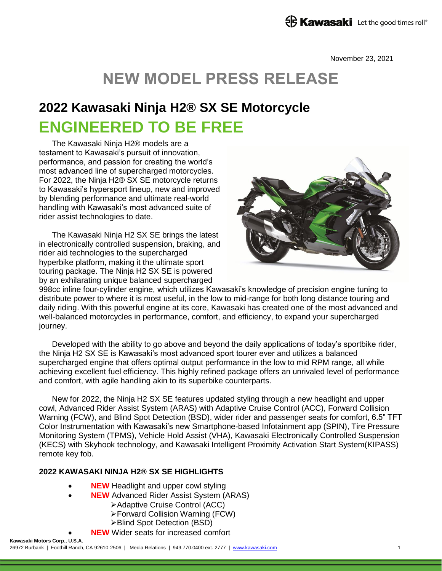November 23, 2021

# **NEW MODEL PRESS RELEASE**

## **2022 Kawasaki Ninja H2® SX SE Motorcycle ENGINEERED TO BE FREE**

The Kawasaki Ninja H2® models are a testament to Kawasaki's pursuit of innovation, performance, and passion for creating the world's most advanced line of supercharged motorcycles. For 2022, the Ninja H2® SX SE motorcycle returns to Kawasaki's hypersport lineup, new and improved by blending performance and ultimate real-world handling with Kawasaki's most advanced suite of rider assist technologies to date.

The Kawasaki Ninja H2 SX SE brings the latest in electronically controlled suspension, braking, and rider aid technologies to the supercharged hyperbike platform, making it the ultimate sport touring package. The Ninja H2 SX SE is powered by an exhilarating unique balanced supercharged



998cc inline four-cylinder engine, which utilizes Kawasaki's knowledge of precision engine tuning to distribute power to where it is most useful, in the low to mid-range for both long distance touring and daily riding. With this powerful engine at its core, Kawasaki has created one of the most advanced and well-balanced motorcycles in performance, comfort, and efficiency, to expand your supercharged journey.

Developed with the ability to go above and beyond the daily applications of today's sportbike rider, the Ninja H2 SX SE is Kawasaki's most advanced sport tourer ever and utilizes a balanced supercharged engine that offers optimal output performance in the low to mid RPM range, all while achieving excellent fuel efficiency. This highly refined package offers an unrivaled level of performance and comfort, with agile handling akin to its superbike counterparts.

New for 2022, the Ninja H2 SX SE features updated styling through a new headlight and upper cowl, Advanced Rider Assist System (ARAS) with Adaptive Cruise Control (ACC), Forward Collision Warning (FCW), and Blind Spot Detection (BSD), wider rider and passenger seats for comfort, 6.5" TFT Color Instrumentation with Kawasaki's new Smartphone-based Infotainment app (SPIN), Tire Pressure Monitoring System (TPMS), Vehicle Hold Assist (VHA), Kawasaki Electronically Controlled Suspension (KECS) with Skyhook technology, and Kawasaki Intelligent Proximity Activation Start System(KIPASS) remote key fob.

## **2022 KAWASAKI NINJA H2® SX SE HIGHLIGHTS**

- **NEW** Headlight and upper cowl styling
- **NEW** Advanced Rider Assist System (ARAS)
	- Adaptive Cruise Control (ACC)
	- Forward Collision Warning (FCW)
	- Blind Spot Detection (BSD)
- **NEW** Wider seats for increased comfort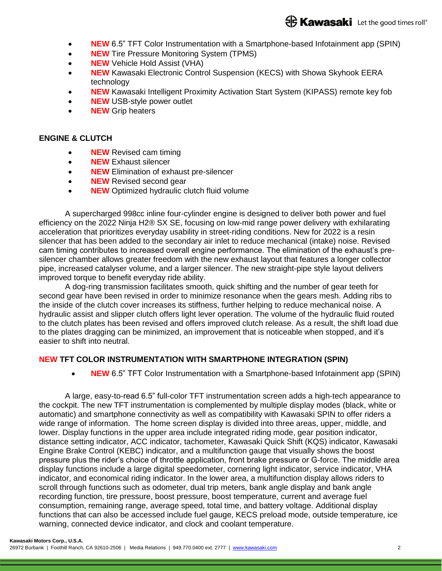- **NEW** 6.5" TFT Color Instrumentation with a Smartphone-based Infotainment app (SPIN)
- **NEW Tire Pressure Monitoring System (TPMS)**
- **NEW** Vehicle Hold Assist (VHA)
- **NEW** Kawasaki Electronic Control Suspension (KECS) with Showa Skyhook EERA technology
- **NEW** Kawasaki Intelligent Proximity Activation Start System (KIPASS) remote key fob
- **NEW USB-style power outlet**
- **NEW** Grip heaters

## **ENGINE & CLUTCH**

- **NEW** Revised cam timing
- **NEW** Exhaust silencer
- **NEW** Elimination of exhaust pre-silencer
- **NEW** Revised second gear
- **NEW** Optimized hydraulic clutch fluid volume

A supercharged 998cc inline four-cylinder engine is designed to deliver both power and fuel efficiency on the 2022 Ninja H2® SX SE, focusing on low-mid range power delivery with exhilarating acceleration that prioritizes everyday usability in street-riding conditions. New for 2022 is a resin silencer that has been added to the secondary air inlet to reduce mechanical (intake) noise. Revised cam timing contributes to increased overall engine performance. The elimination of the exhaust's presilencer chamber allows greater freedom with the new exhaust layout that features a longer collector pipe, increased catalyser volume, and a larger silencer. The new straight-pipe style layout delivers improved torque to benefit everyday ride ability.

A dog-ring transmission facilitates smooth, quick shifting and the number of gear teeth for second gear have been revised in order to minimize resonance when the gears mesh. Adding ribs to the inside of the clutch cover increases its stiffness, further helping to reduce mechanical noise. A hydraulic assist and slipper clutch offers light lever operation. The volume of the hydraulic fluid routed to the clutch plates has been revised and offers improved clutch release. As a result, the shift load due to the plates dragging can be minimized, an improvement that is noticeable when stopped, and it's easier to shift into neutral.

#### **NEW TFT COLOR INSTRUMENTATION WITH SMARTPHONE INTEGRATION (SPIN)**

**NEW** 6.5" TFT Color Instrumentation with a Smartphone-based Infotainment app (SPIN)

A large, easy-to-read 6.5" full-color TFT instrumentation screen adds a high-tech appearance to the cockpit. The new TFT instrumentation is complemented by multiple display modes (black, white or automatic) and smartphone connectivity as well as compatibility with Kawasaki SPIN to offer riders a wide range of information. The home screen display is divided into three areas, upper, middle, and lower. Display functions in the upper area include integrated riding mode, gear position indicator, distance setting indicator, ACC indicator, tachometer, Kawasaki Quick Shift (KQS) indicator, Kawasaki Engine Brake Control (KEBC) indicator, and a multifunction gauge that visually shows the boost pressure plus the rider's choice of throttle application, front brake pressure or G-force. The middle area display functions include a large digital speedometer, cornering light indicator, service indicator, VHA indicator, and economical riding indicator. In the lower area, a multifunction display allows riders to scroll through functions such as odometer, dual trip meters, bank angle display and bank angle recording function, tire pressure, boost pressure, boost temperature, current and average fuel consumption, remaining range, average speed, total time, and battery voltage. Additional display functions that can also be accessed include fuel gauge, KECS preload mode, outside temperature, ice warning, connected device indicator, and clock and coolant temperature.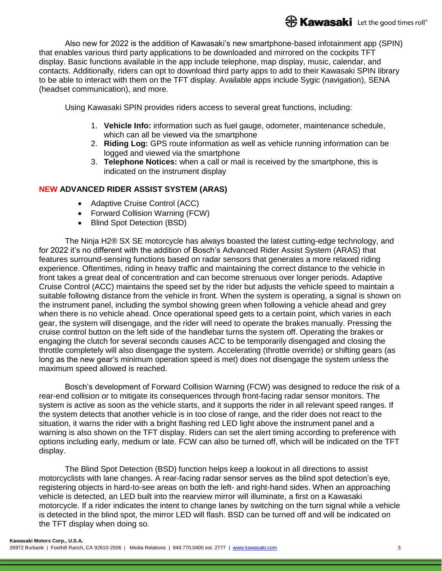Also new for 2022 is the addition of Kawasaki's new smartphone-based infotainment app (SPIN) that enables various third party applications to be downloaded and mirrored on the cockpits TFT display. Basic functions available in the app include telephone, map display, music, calendar, and contacts. Additionally, riders can opt to download third party apps to add to their Kawasaki SPIN library to be able to interact with them on the TFT display. Available apps include Sygic (navigation), SENA (headset communication), and more.

Using Kawasaki SPIN provides riders access to several great functions, including:

- 1. **Vehicle Info:** information such as fuel gauge, odometer, maintenance schedule, which can all be viewed via the smartphone
- 2. **Riding Log:** GPS route information as well as vehicle running information can be logged and viewed via the smartphone
- 3. **Telephone Notices:** when a call or mail is received by the smartphone, this is indicated on the instrument display

## **NEW ADVANCED RIDER ASSIST SYSTEM (ARAS)**

- Adaptive Cruise Control (ACC)
- Forward Collision Warning (FCW)
- Blind Spot Detection (BSD)

The Ninja H2® SX SE motorcycle has always boasted the latest cutting-edge technology, and for 2022 it's no different with the addition of Bosch's Advanced Rider Assist System (ARAS) that features surround-sensing functions based on radar sensors that generates a more relaxed riding experience. Oftentimes, riding in heavy traffic and maintaining the correct distance to the vehicle in front takes a great deal of concentration and can become strenuous over longer periods. Adaptive Cruise Control (ACC) maintains the speed set by the rider but adjusts the vehicle speed to maintain a suitable following distance from the vehicle in front. When the system is operating, a signal is shown on the instrument panel, including the symbol showing green when following a vehicle ahead and grey when there is no vehicle ahead. Once operational speed gets to a certain point, which varies in each gear, the system will disengage, and the rider will need to operate the brakes manually. Pressing the cruise control button on the left side of the handlebar turns the system off. Operating the brakes or engaging the clutch for several seconds causes ACC to be temporarily disengaged and closing the throttle completely will also disengage the system. Accelerating (throttle override) or shifting gears (as long as the new gear's minimum operation speed is met) does not disengage the system unless the maximum speed allowed is reached.

Bosch's development of Forward Collision Warning (FCW) was designed to reduce the risk of a rear-end collision or to mitigate its consequences through front-facing radar sensor monitors. The system is active as soon as the vehicle starts, and it supports the rider in all relevant speed ranges. If the system detects that another vehicle is in too close of range, and the rider does not react to the situation, it warns the rider with a bright flashing red LED light above the instrument panel and a warning is also shown on the TFT display. Riders can set the alert timing according to preference with options including early, medium or late. FCW can also be turned off, which will be indicated on the TFT display.

The Blind Spot Detection (BSD) function helps keep a lookout in all directions to assist motorcyclists with lane changes. A rear-facing radar sensor serves as the blind spot detection's eye, registering objects in hard-to-see areas on both the left- and right-hand sides. When an approaching vehicle is detected, an LED built into the rearview mirror will illuminate, a first on a Kawasaki motorcycle. If a rider indicates the intent to change lanes by switching on the turn signal while a vehicle is detected in the blind spot, the mirror LED will flash. BSD can be turned off and will be indicated on the TFT display when doing so.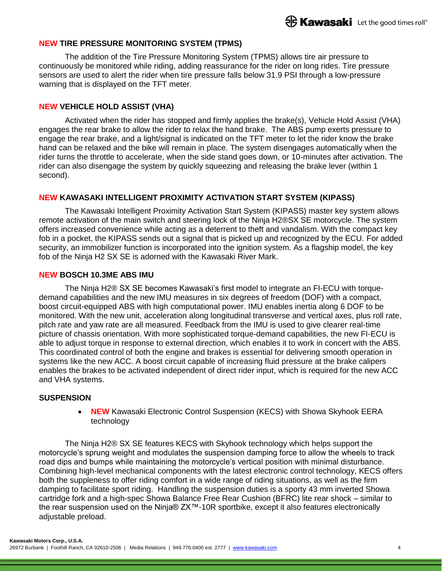## **NEW TIRE PRESSURE MONITORING SYSTEM (TPMS)**

The addition of the Tire Pressure Monitoring System (TPMS) allows tire air pressure to continuously be monitored while riding, adding reassurance for the rider on long rides. Tire pressure sensors are used to alert the rider when tire pressure falls below 31.9 PSI through a low-pressure warning that is displayed on the TFT meter.

## **NEW VEHICLE HOLD ASSIST (VHA)**

Activated when the rider has stopped and firmly applies the brake(s), Vehicle Hold Assist (VHA) engages the rear brake to allow the rider to relax the hand brake. The ABS pump exerts pressure to engage the rear brake, and a light/signal is indicated on the TFT meter to let the rider know the brake hand can be relaxed and the bike will remain in place. The system disengages automatically when the rider turns the throttle to accelerate, when the side stand goes down, or 10-minutes after activation. The rider can also disengage the system by quickly squeezing and releasing the brake lever (within 1 second).

## **NEW KAWASAKI INTELLIGENT PROXIMITY ACTIVATION START SYSTEM (KIPASS)**

The Kawasaki Intelligent Proximity Activation Start System (KIPASS) master key system allows remote activation of the main switch and steering lock of the Ninja H2®SX SE motorcycle. The system offers increased convenience while acting as a deterrent to theft and vandalism. With the compact key fob in a pocket, the KIPASS sends out a signal that is picked up and recognized by the ECU. For added security, an immobilizer function is incorporated into the ignition system. As a flagship model, the key fob of the Ninja H2 SX SE is adorned with the Kawasaki River Mark.

#### **NEW BOSCH 10.3ME ABS IMU**

The Ninja H2® SX SE becomes Kawasaki's first model to integrate an FI-ECU with torquedemand capabilities and the new IMU measures in six degrees of freedom (DOF) with a compact, boost circuit-equipped ABS with high computational power. IMU enables inertia along 6 DOF to be monitored. With the new unit, acceleration along longitudinal transverse and vertical axes, plus roll rate, pitch rate and yaw rate are all measured. Feedback from the IMU is used to give clearer real-time picture of chassis orientation. With more sophisticated torque-demand capabilities, the new FI-ECU is able to adjust torque in response to external direction, which enables it to work in concert with the ABS. This coordinated control of both the engine and brakes is essential for delivering smooth operation in systems like the new ACC. A boost circuit capable of increasing fluid pressure at the brake calipers enables the brakes to be activated independent of direct rider input, which is required for the new ACC and VHA systems.

#### **SUSPENSION**

 **NEW** Kawasaki Electronic Control Suspension (KECS) with Showa Skyhook EERA technology

The Ninja H2® SX SE features KECS with Skyhook technology which helps support the motorcycle's sprung weight and modulates the suspension damping force to allow the wheels to track road dips and bumps while maintaining the motorcycle's vertical position with minimal disturbance. Combining high-level mechanical components with the latest electronic control technology, KECS offers both the suppleness to offer riding comfort in a wide range of riding situations, as well as the firm damping to facilitate sport riding. Handling the suspension duties is a sporty 43 mm inverted Showa cartridge fork and a high-spec Showa Balance Free Rear Cushion (BFRC) lite rear shock – similar to the rear suspension used on the Ninja® ZX™-10R sportbike, except it also features electronically adjustable preload.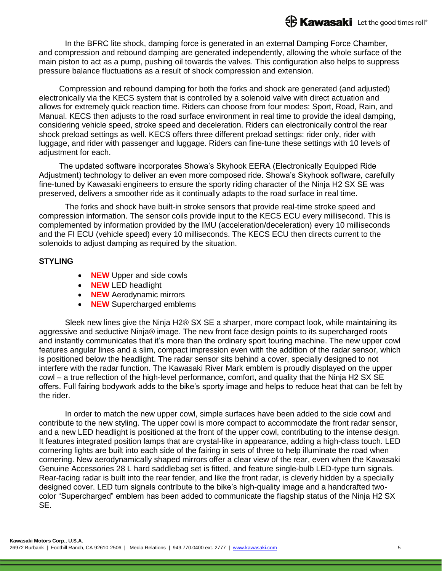In the BFRC lite shock, damping force is generated in an external Damping Force Chamber, and compression and rebound damping are generated independently, allowing the whole surface of the main piston to act as a pump, pushing oil towards the valves. This configuration also helps to suppress pressure balance fluctuations as a result of shock compression and extension.

Compression and rebound damping for both the forks and shock are generated (and adjusted) electronically via the KECS system that is controlled by a solenoid valve with direct actuation and allows for extremely quick reaction time. Riders can choose from four modes: Sport, Road, Rain, and Manual. KECS then adjusts to the road surface environment in real time to provide the ideal damping, considering vehicle speed, stroke speed and deceleration. Riders can electronically control the rear shock preload settings as well. KECS offers three different preload settings: rider only, rider with luggage, and rider with passenger and luggage. Riders can fine-tune these settings with 10 levels of adjustment for each.

The updated software incorporates Showa's Skyhook EERA (Electronically Equipped Ride Adjustment) technology to deliver an even more composed ride. Showa's Skyhook software, carefully fine-tuned by Kawasaki engineers to ensure the sporty riding character of the Ninja H2 SX SE was preserved, delivers a smoother ride as it continually adapts to the road surface in real time.

The forks and shock have built-in stroke sensors that provide real-time stroke speed and compression information. The sensor coils provide input to the KECS ECU every millisecond. This is complemented by information provided by the IMU (acceleration/deceleration) every 10 milliseconds and the FI ECU (vehicle speed) every 10 milliseconds. The KECS ECU then directs current to the solenoids to adjust damping as required by the situation.

#### **STYLING**

- **NEW** Upper and side cowls
- **NEW** LED headlight
- **NEW** Aerodynamic mirrors
- **NEW** Supercharged emblems

Sleek new lines give the Ninja H2® SX SE a sharper, more compact look, while maintaining its aggressive and seductive Ninja® image. The new front face design points to its supercharged roots and instantly communicates that it's more than the ordinary sport touring machine. The new upper cowl features angular lines and a slim, compact impression even with the addition of the radar sensor, which is positioned below the headlight. The radar sensor sits behind a cover, specially designed to not interfere with the radar function. The Kawasaki River Mark emblem is proudly displayed on the upper cowl – a true reflection of the high-level performance, comfort, and quality that the Ninja H2 SX SE offers. Full fairing bodywork adds to the bike's sporty image and helps to reduce heat that can be felt by the rider.

In order to match the new upper cowl, simple surfaces have been added to the side cowl and contribute to the new styling. The upper cowl is more compact to accommodate the front radar sensor, and a new LED headlight is positioned at the front of the upper cowl, contributing to the intense design. It features integrated position lamps that are crystal-like in appearance, adding a high-class touch. LED cornering lights are built into each side of the fairing in sets of three to help illuminate the road when cornering. New aerodynamically shaped mirrors offer a clear view of the rear, even when the Kawasaki Genuine Accessories 28 L hard saddlebag set is fitted, and feature single-bulb LED-type turn signals. Rear-facing radar is built into the rear fender, and like the front radar, is cleverly hidden by a specially designed cover. LED turn signals contribute to the bike's high-quality image and a handcrafted twocolor "Supercharged" emblem has been added to communicate the flagship status of the Ninja H2 SX SE.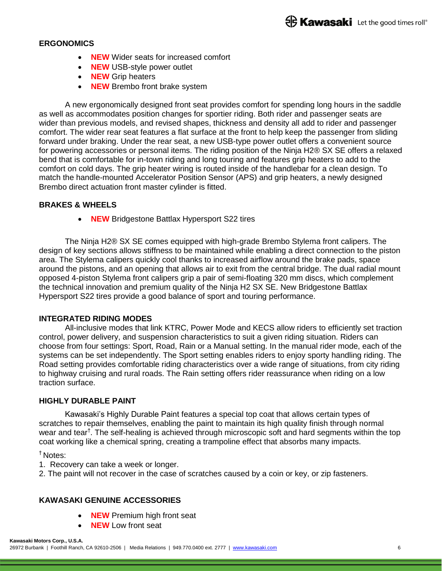## **ERGONOMICS**

- **NEW** Wider seats for increased comfort
- **NEW** USB-style power outlet
- **NEW** Grip heaters
- **NEW** Brembo front brake system

A new ergonomically designed front seat provides comfort for spending long hours in the saddle as well as accommodates position changes for sportier riding. Both rider and passenger seats are wider than previous models, and revised shapes, thickness and density all add to rider and passenger comfort. The wider rear seat features a flat surface at the front to help keep the passenger from sliding forward under braking. Under the rear seat, a new USB-type power outlet offers a convenient source for powering accessories or personal items. The riding position of the Ninja H2® SX SE offers a relaxed bend that is comfortable for in-town riding and long touring and features grip heaters to add to the comfort on cold days. The grip heater wiring is routed inside of the handlebar for a clean design. To match the handle-mounted Accelerator Position Sensor (APS) and grip heaters, a newly designed Brembo direct actuation front master cylinder is fitted.

## **BRAKES & WHEELS**

**NEW** Bridgestone Battlax Hypersport S22 tires

The Ninja H2® SX SE comes equipped with high-grade Brembo Stylema front calipers. The design of key sections allows stiffness to be maintained while enabling a direct connection to the piston area. The Stylema calipers quickly cool thanks to increased airflow around the brake pads, space around the pistons, and an opening that allows air to exit from the central bridge. The dual radial mount opposed 4-piston Stylema front calipers grip a pair of semi-floating 320 mm discs, which complement the technical innovation and premium quality of the Ninja H2 SX SE. New Bridgestone Battlax Hypersport S22 tires provide a good balance of sport and touring performance.

#### **INTEGRATED RIDING MODES**

All-inclusive modes that link KTRC, Power Mode and KECS allow riders to efficiently set traction control, power delivery, and suspension characteristics to suit a given riding situation. Riders can choose from four settings: Sport, Road, Rain or a Manual setting. In the manual rider mode, each of the systems can be set independently. The Sport setting enables riders to enjoy sporty handling riding. The Road setting provides comfortable riding characteristics over a wide range of situations, from city riding to highway cruising and rural roads. The Rain setting offers rider reassurance when riding on a low traction surface.

#### **HIGHLY DURABLE PAINT**

Kawasaki's Highly Durable Paint features a special top coat that allows certain types of scratches to repair themselves, enabling the paint to maintain its high quality finish through normal wear and tear<sup>†</sup>. The self-healing is achieved through microscopic soft and hard segments within the top coat working like a chemical spring, creating a trampoline effect that absorbs many impacts.

#### † Notes:

- 1. Recovery can take a week or longer.
- 2. The paint will not recover in the case of scratches caused by a coin or key, or zip fasteners.

## **KAWASAKI GENUINE ACCESSORIES**

- **NEW** Premium high front seat
- **NEW** Low front seat